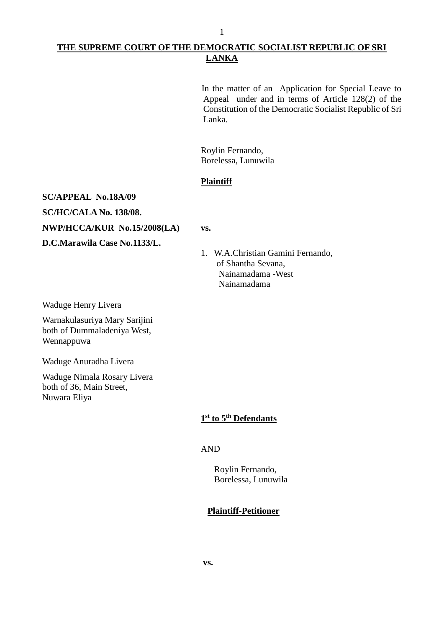# **THE SUPREME COURT OF THE DEMOCRATIC SOCIALIST REPUBLIC OF SRI LANKA**

1

In the matter of an Application for Special Leave to Appeal under and in terms of Article 128(2) of the Constitution of the Democratic Socialist Republic of Sri Lanka.

Roylin Fernando, Borelessa, Lunuwila

### **Plaintiff**

**SC/APPEAL No.18A/09**

**SC/HC/CALA No. 138/08.**

**NWP/HCCA/KUR No.15/2008(LA) vs.**

**D.C.Marawila Case No.1133/L.**

1. W.A.Christian Gamini Fernando, of Shantha Sevana, Nainamadama -West Nainamadama

Waduge Henry Livera

Warnakulasuriya Mary Sarijini both of Dummaladeniya West, Wennappuwa

Waduge Anuradha Livera

Waduge Nimala Rosary Livera both of 36, Main Street, Nuwara Eliya

## **1 st to 5th Defendants**

AND

Roylin Fernando, Borelessa, Lunuwila

## **Plaintiff-Petitioner**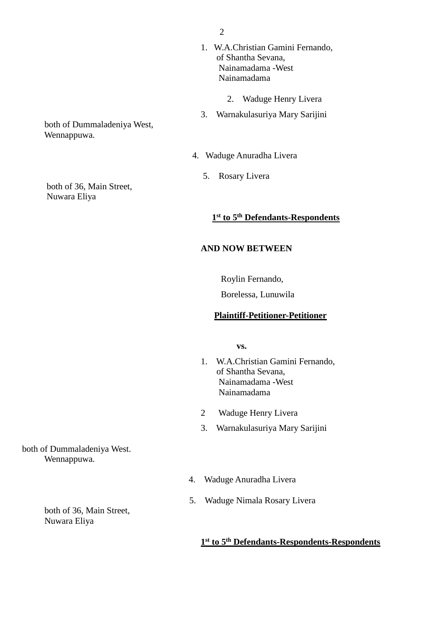- 1. W.A.Christian Gamini Fernando, of Shantha Sevana, Nainamadama -West Nainamadama
	- 2. Waduge Henry Livera
- 3. Warnakulasuriya Mary Sarijini
- 4. Waduge Anuradha Livera
	- 5. Rosary Livera

#### **1 st to 5th Defendants-Respondents**

#### **AND NOW BETWEEN**

Roylin Fernando,

Borelessa, Lunuwila

### **Plaintiff-Petitioner-Petitioner**

 **vs.**

- 1. W.A.Christian Gamini Fernando, of Shantha Sevana, Nainamadama -West Nainamadama
- 2 Waduge Henry Livera
- 3. Warnakulasuriya Mary Sarijini

- both of Dummaladeniya West. Wennappuwa.
- 4. Waduge Anuradha Livera
- 5. Waduge Nimala Rosary Livera

# **1 st to 5th Defendants-Respondents-Respondents**

both of 36, Main Street, Nuwara Eliya

both of Dummaladeniya West, Wennappuwa.

 both of 36, Main Street, Nuwara Eliya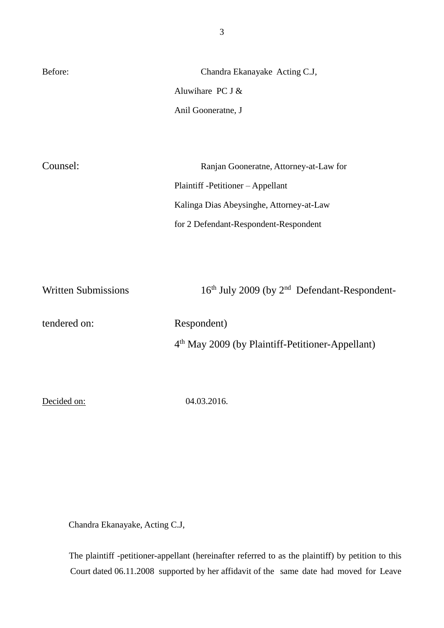| Before:  | Chandra Ekanayake Acting C.J,            |
|----------|------------------------------------------|
|          | Aluwihare PC J $&$                       |
|          | Anil Gooneratne, J                       |
|          |                                          |
|          |                                          |
| Counsel: | Ranjan Gooneratne, Attorney-at-Law for   |
|          | Plaintiff -Petitioner – Appellant        |
|          | Kalinga Dias Abeysinghe, Attorney-at-Law |
|          | for 2 Defendant-Respondent-Respondent    |
|          |                                          |

Written Submissions 16<sup>th</sup> July 2009 (by 2<sup>nd</sup> Defendant-Respondenttendered on: Respondent) 4 th May 2009 (by Plaintiff-Petitioner-Appellant)

Decided on: 04.03.2016.

Chandra Ekanayake, Acting C.J,

The plaintiff -petitioner-appellant (hereinafter referred to as the plaintiff) by petition to this Court dated 06.11.2008 supported by her affidavit of the same date had moved for Leave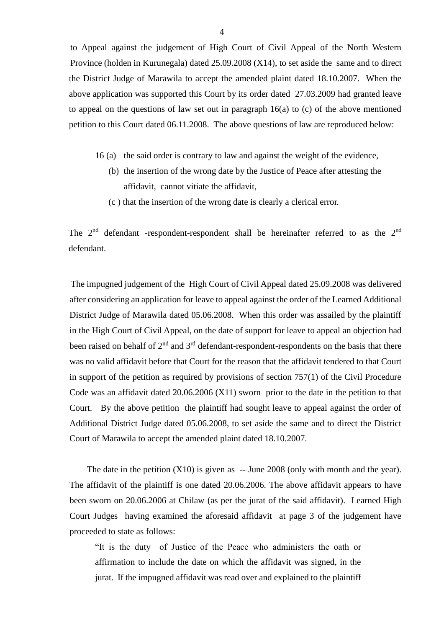to Appeal against the judgement of High Court of Civil Appeal of the North Western Province (holden in Kurunegala) dated 25.09.2008 (X14), to set aside the same and to direct the District Judge of Marawila to accept the amended plaint dated 18.10.2007. When the above application was supported this Court by its order dated 27.03.2009 had granted leave to appeal on the questions of law set out in paragraph 16(a) to (c) of the above mentioned petition to this Court dated 06.11.2008. The above questions of law are reproduced below:

- 16 (a) the said order is contrary to law and against the weight of the evidence,
	- (b) the insertion of the wrong date by the Justice of Peace after attesting the affidavit, cannot vitiate the affidavit,
	- (c ) that the insertion of the wrong date is clearly a clerical error.

The 2<sup>nd</sup> defendant -respondent-respondent shall be hereinafter referred to as the 2<sup>nd</sup> defendant.

The impugned judgement of the High Court of Civil Appeal dated 25.09.2008 was delivered after considering an application for leave to appeal against the order of the Learned Additional District Judge of Marawila dated 05.06.2008. When this order was assailed by the plaintiff in the High Court of Civil Appeal, on the date of support for leave to appeal an objection had been raised on behalf of 2<sup>nd</sup> and 3<sup>rd</sup> defendant-respondent-respondents on the basis that there was no valid affidavit before that Court for the reason that the affidavit tendered to that Court in support of the petition as required by provisions of section 757(1) of the Civil Procedure Code was an affidavit dated 20.06.2006 (X11) sworn prior to the date in the petition to that Court. By the above petition the plaintiff had sought leave to appeal against the order of Additional District Judge dated 05.06.2008, to set aside the same and to direct the District Court of Marawila to accept the amended plaint dated 18.10.2007.

The date in the petition  $(X10)$  is given as  $-$  June 2008 (only with month and the year). The affidavit of the plaintiff is one dated 20.06.2006. The above affidavit appears to have been sworn on 20.06.2006 at Chilaw (as per the jurat of the said affidavit). Learned High Court Judges having examined the aforesaid affidavit at page 3 of the judgement have proceeded to state as follows:

"It is the duty of Justice of the Peace who administers the oath or affirmation to include the date on which the affidavit was signed, in the jurat. If the impugned affidavit was read over and explained to the plaintiff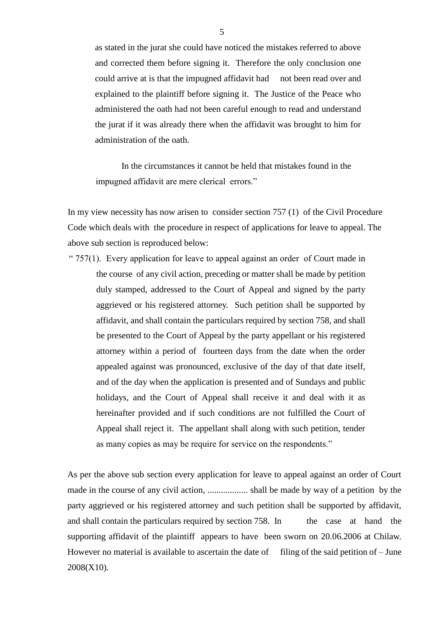as stated in the jurat she could have noticed the mistakes referred to above and corrected them before signing it. Therefore the only conclusion one could arrive at is that the impugned affidavit had not been read over and explained to the plaintiff before signing it. The Justice of the Peace who administered the oath had not been careful enough to read and understand the jurat if it was already there when the affidavit was brought to him for administration of the oath.

In the circumstances it cannot be held that mistakes found in the impugned affidavit are mere clerical errors."

In my view necessity has now arisen to consider section 757 (1) of the Civil Procedure Code which deals with the procedure in respect of applications for leave to appeal. The above sub section is reproduced below:

"  $757(1)$ . Every application for leave to appeal against an order of Court made in the course of any civil action, preceding or matter shall be made by petition duly stamped, addressed to the Court of Appeal and signed by the party aggrieved or his registered attorney. Such petition shall be supported by affidavit, and shall contain the particulars required by section 758, and shall be presented to the Court of Appeal by the party appellant or his registered attorney within a period of fourteen days from the date when the order appealed against was pronounced, exclusive of the day of that date itself, and of the day when the application is presented and of Sundays and public holidays, and the Court of Appeal shall receive it and deal with it as hereinafter provided and if such conditions are not fulfilled the Court of Appeal shall reject it. The appellant shall along with such petition, tender as many copies as may be require for service on the respondents."

As per the above sub section every application for leave to appeal against an order of Court made in the course of any civil action, .................. shall be made by way of a petition by the party aggrieved or his registered attorney and such petition shall be supported by affidavit, and shall contain the particulars required by section 758. In the case at hand the supporting affidavit of the plaintiff appears to have been sworn on 20.06.2006 at Chilaw. However no material is available to ascertain the date of  $\frac{1}{\pi}$  filing of the said petition of – June 2008(X10).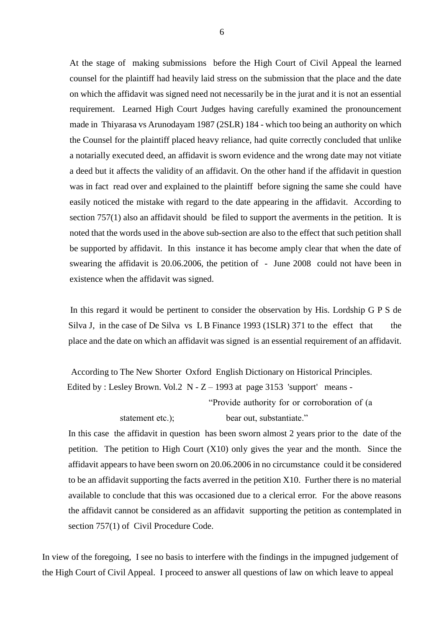At the stage of making submissions before the High Court of Civil Appeal the learned counsel for the plaintiff had heavily laid stress on the submission that the place and the date on which the affidavit was signed need not necessarily be in the jurat and it is not an essential requirement. Learned High Court Judges having carefully examined the pronouncement made in Thiyarasa vs Arunodayam 1987 (2SLR) 184 - which too being an authority on which the Counsel for the plaintiff placed heavy reliance, had quite correctly concluded that unlike a notarially executed deed, an affidavit is sworn evidence and the wrong date may not vitiate a deed but it affects the validity of an affidavit. On the other hand if the affidavit in question was in fact read over and explained to the plaintiff before signing the same she could have easily noticed the mistake with regard to the date appearing in the affidavit. According to section 757(1) also an affidavit should be filed to support the averments in the petition. It is noted that the words used in the above sub-section are also to the effect that such petition shall be supported by affidavit. In this instance it has become amply clear that when the date of swearing the affidavit is 20.06.2006, the petition of - June 2008 could not have been in existence when the affidavit was signed.

In this regard it would be pertinent to consider the observation by His. Lordship G P S de Silva J, in the case of De Silva vs L B Finance 1993 (1SLR) 371 to the effect that the place and the date on which an affidavit was signed is an essential requirement of an affidavit.

 According to The New Shorter Oxford English Dictionary on Historical Principles. Edited by : Lesley Brown. Vol.2  $N - Z - 1993$  at page 3153 'support' means -"Provide authority for or corroboration of (a statement etc.); bear out, substantiate."

In this case the affidavit in question has been sworn almost 2 years prior to the date of the petition. The petition to High Court  $(X10)$  only gives the year and the month. Since the affidavit appears to have been sworn on 20.06.2006 in no circumstance could it be considered to be an affidavit supporting the facts averred in the petition X10. Further there is no material available to conclude that this was occasioned due to a clerical error. For the above reasons the affidavit cannot be considered as an affidavit supporting the petition as contemplated in section 757(1) of Civil Procedure Code.

In view of the foregoing, I see no basis to interfere with the findings in the impugned judgement of the High Court of Civil Appeal. I proceed to answer all questions of law on which leave to appeal